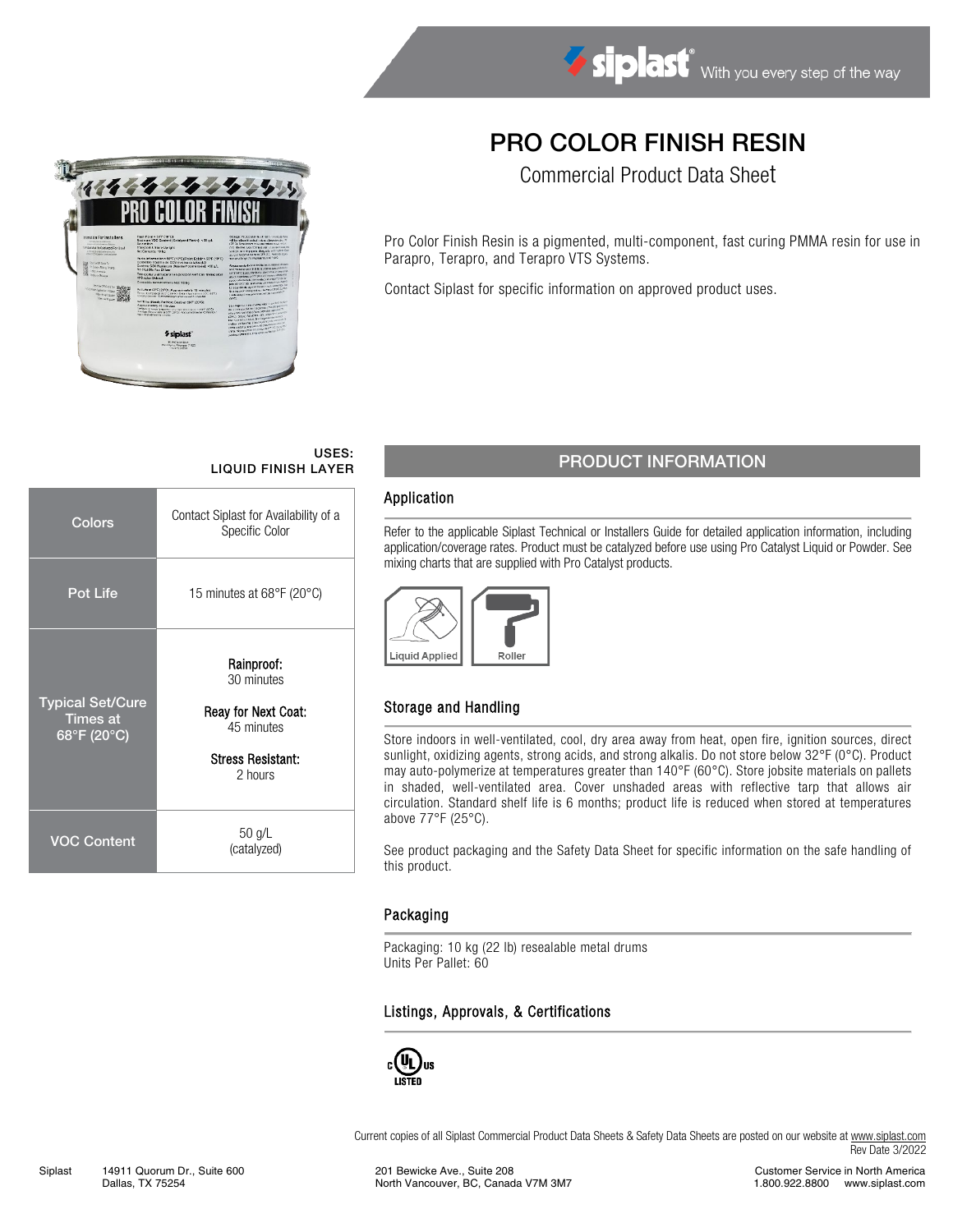# PRO COLOR FINISH RESIN

Commercial Product Data Sheet

Pro Color Finish Resin is a pigmented, multi-component, fast curing PMMA resin for use in Parapro, Terapro, and Terapro VTS Systems.

Contact Siplast for specific information on approved product uses.

# USES:

| Colors                                                                                | Contact Siplast for Availability of a<br>Specific Color                                              |  |  |  |
|---------------------------------------------------------------------------------------|------------------------------------------------------------------------------------------------------|--|--|--|
| <b>Pot Life</b>                                                                       | 15 minutes at 68°F (20°C)                                                                            |  |  |  |
| <b>Typical Set/Cure</b><br><b>Times at</b><br>$\overline{68^\circ F}$ (20 $^\circ$ C) | Rainproof:<br>30 minutes<br>Reay for Next Coat:<br>45 minutes<br><b>Stress Resistant:</b><br>2 hours |  |  |  |
| VOC Content                                                                           | $50$ g/L<br>(catalyzed)                                                                              |  |  |  |

## USES:<br>LIQUID FINISH LAYER PRODUCT INFORMATION

#### Application

Refer to the applicable Siplast Technical or Installers Guide for detailed application information, including application/coverage rates. Product must be catalyzed before use using Pro Catalyst Liquid or Powder. See mixing charts that are supplied with Pro Catalyst products.



### Storage and Handling

Store indoors in well-ventilated, cool, dry area away from heat, open fire, ignition sources, direct sunlight, oxidizing agents, strong acids, and strong alkalis. Do not store below 32°F (0°C). Product may auto-polymerize at temperatures greater than 140°F (60°C). Store jobsite materials on pallets in shaded, well-ventilated area. Cover unshaded areas with reflective tarp that allows air circulation. Standard shelf life is 6 months; product life is reduced when stored at temperatures above 77°F (25°C).

See product packaging and the Safety Data Sheet for specific information on the safe handling of this product.

### Packaging

Packaging: 10 kg (22 lb) resealable metal drums Units Per Pallet: 60

#### Listings, Approvals, & Certifications



Current copies of all Siplast Commercial Product Data Sheets & Safety Data Sheets are posted on our website a[t www.siplast.com](http://www.siplast.com/) Rev Date 3/2022